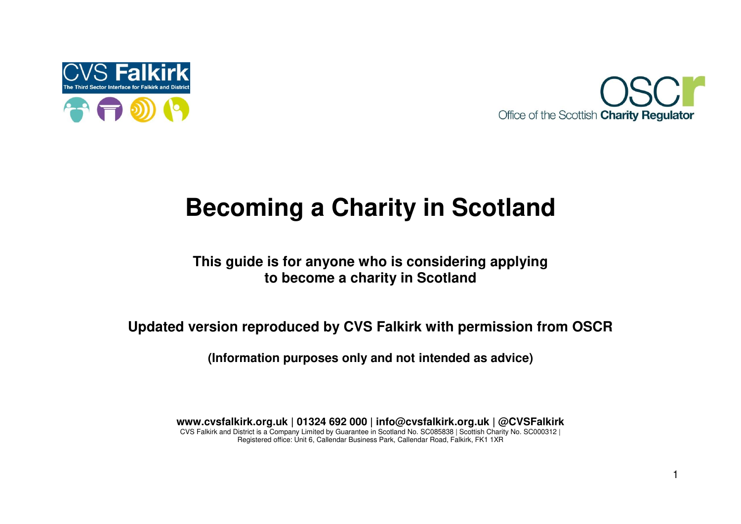



# **Becoming a Charity in Scotland**

### **This guide is for anyone who is considering applying to become a charity in Scotland**

**Updated version reproduced by CVS Falkirk with permission from OSCR** 

**(Information purposes only and not intended as advice)** 

**www.cvsfalkirk.org.uk | 01324 692 000 | info@cvsfalkirk.org.uk | @CVSFalkirk**  CVS Falkirk and District is a Company Limited by Guarantee in Scotland No. SC085838 | Scottish Charity No. SC000312 | Registered office: Unit 6, Callendar Business Park, Callendar Road, Falkirk, FK1 1XR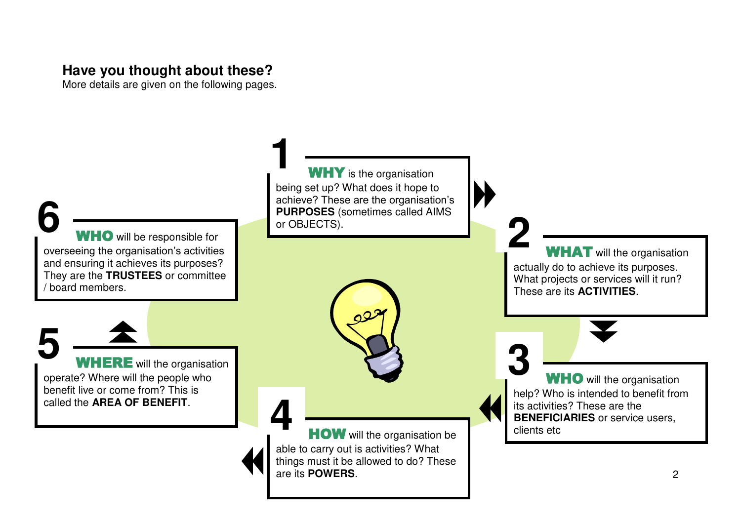# **Have you thought about these?**

More details are given on the following pages.

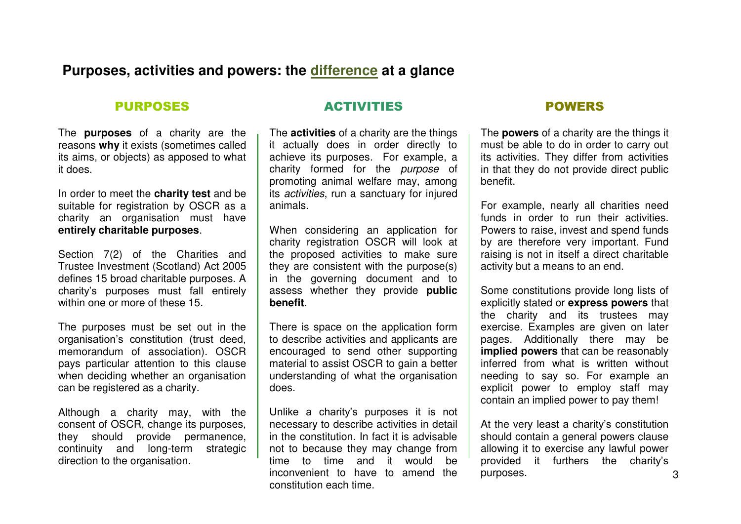#### **Purposes, activities and powers: the difference at a glance**

#### PURPOSES

The **purposes** of a charity are the reasons **why** it exists (sometimes called its aims, or objects) as apposed to what it does.

In order to meet the **charity test** and be suitable for registration by OSCR as a charity an organisation must have **entirely charitable purposes**.

Section 7(2) of the Charities and Trustee Investment (Scotland) Act 2005 defines 15 broad charitable purposes. A charity's purposes must fall entirely within one or more of these 15.

The purposes must be set out in the organisation's constitution (trust deed, memorandum of association). OSCR pays particular attention to this clause when deciding whether an organisation can be registered as a charity.

Although a charity may, with the consent of OSCR, change its purposes, they should provide permanence, continuity and long-term strategic direction to the organisation.

#### ACTIVITIES

The **activities** of a charity are the things it actually does in order directly to achieve its purposes. For example, a charity formed for the *purpose* of promoting animal welfare may, among its *activities*, run a sanctuary for injured animals.

When considering an application for charity registration OSCR will look at the proposed activities to make sure they are consistent with the purpose(s) in the governing document and to assess whether they provide **public benefit**.

There is space on the application form to describe activities and applicants are encouraged to send other supporting material to assist OSCR to gain a better understanding of what the organisation does.

Unlike a charity's purposes it is not necessary to describe activities in detail in the constitution. In fact it is advisable not to because they may change from time to time and it would be inconvenient to have to amend the constitution each time.

#### POWERS

The **powers** of a charity are the things it must be able to do in order to carry out its activities. They differ from activities in that they do not provide direct public benefit.

For example, nearly all charities need funds in order to run their activities. Powers to raise, invest and spend funds by are therefore very important. Fund raising is not in itself a direct charitable activity but a means to an end.

Some constitutions provide long lists of explicitly stated or **express powers** that the charity and its trustees may exercise. Examples are given on later pages. Additionally there may be **implied powers** that can be reasonably inferred from what is written without needing to say so. For example an explicit power to employ staff may contain an implied power to pay them!

At the very least a charity's constitution should contain a general powers clause allowing it to exercise any lawful power provided it furthers the charity's purposes.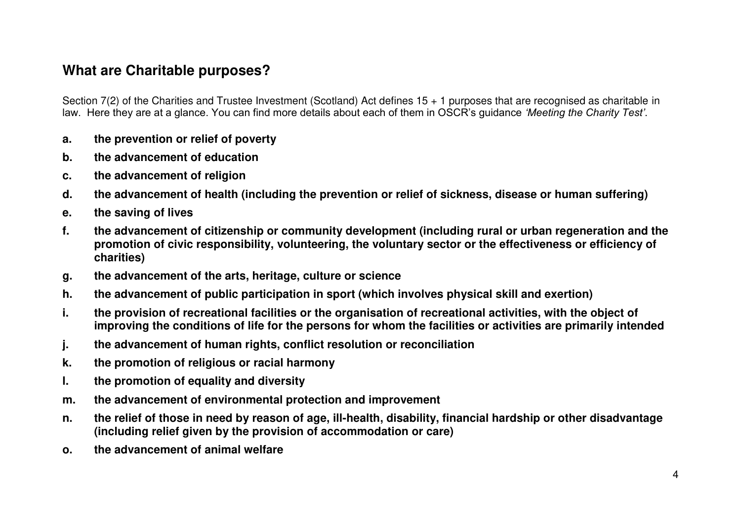## **What are Charitable purposes?**

Section 7(2) of the Charities and Trustee Investment (Scotland) Act defines 15 + 1 purposes that are recognised as charitable in law. Here they are at a glance. You can find more details about each of them in OSCR's guidance *'Meeting the Charity Test'*.

- **a. the prevention or relief of poverty**
- **b. the advancement of education**
- **c. the advancement of religion**
- **d. the advancement of health (including the prevention or relief of sickness, disease or human suffering)**
- **e. the saving of lives**
- **f. the advancement of citizenship or community development (including rural or urban regeneration and the promotion of civic responsibility, volunteering, the voluntary sector or the effectiveness or efficiency of charities)**
- **g. the advancement of the arts, heritage, culture or science**
- **h. the advancement of public participation in sport (which involves physical skill and exertion)**
- **i. the provision of recreational facilities or the organisation of recreational activities, with the object of improving the conditions of life for the persons for whom the facilities or activities are primarily intended**
- **j. the advancement of human rights, conflict resolution or reconciliation**
- **k. the promotion of religious or racial harmony**
- **l. the promotion of equality and diversity**
- **m. the advancement of environmental protection and improvement**
- **n. the relief of those in need by reason of age, ill-health, disability, financial hardship or other disadvantage (including relief given by the provision of accommodation or care)**
- **o. the advancement of animal welfare**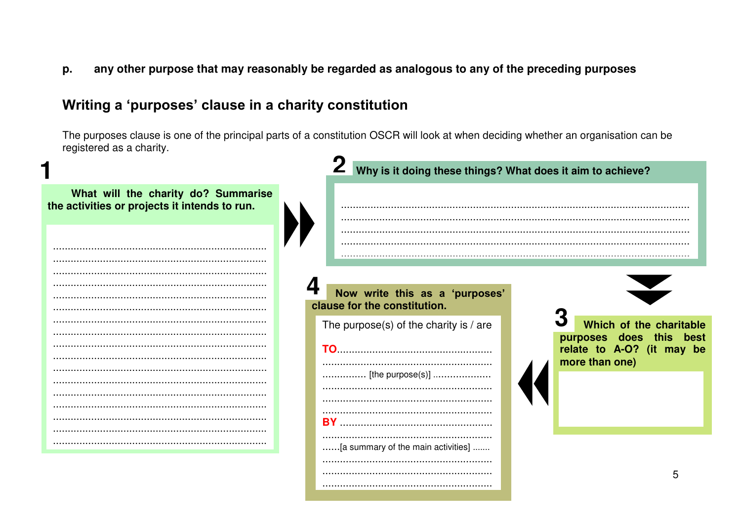any other purpose that may reasonably be regarded as analogous to any of the preceding purposes p.

## Writing a 'purposes' clause in a charity constitution

The purposes clause is one of the principal parts of a constitution OSCR will look at when deciding whether an organisation can be registered as a charity.

|                                                                                      | Why is it doing these things? What does it aim to achieve?     |                                                                                                      |
|--------------------------------------------------------------------------------------|----------------------------------------------------------------|------------------------------------------------------------------------------------------------------|
| What will the charity do? Summarise<br>the activities or projects it intends to run. |                                                                |                                                                                                      |
|                                                                                      |                                                                |                                                                                                      |
|                                                                                      | Now write this as a 'purposes'<br>clause for the constitution. |                                                                                                      |
|                                                                                      | The purpose(s) of the charity is $/$ are                       | Which of the charitable<br>purposes does this<br>best<br>relate to A-O? (it may be<br>more than one) |
|                                                                                      | [the purpose(s)]                                               |                                                                                                      |
|                                                                                      | [a summary of the main activities]                             |                                                                                                      |
|                                                                                      |                                                                | 5                                                                                                    |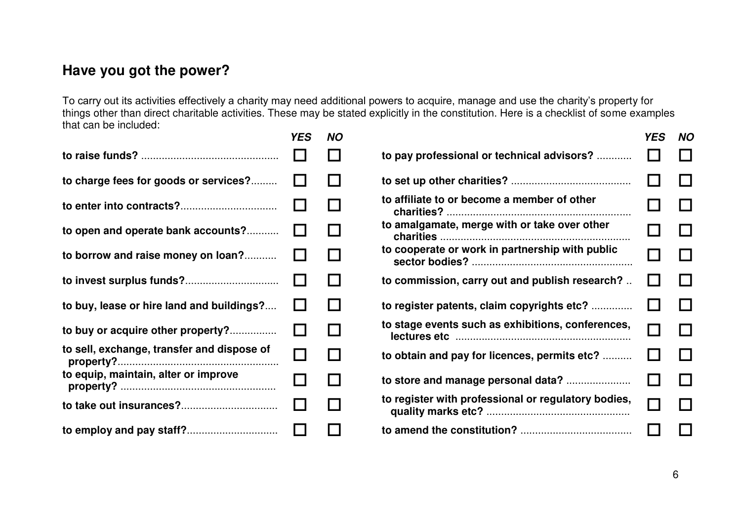# **Have you got the power?**

To carry out its activities effectively a charity may need additional powers to acquire, manage and use the charity's property for things other than direct charitable activities. These may be stated explicitly in the constitution. Here is a checklist of some examples that can be included:

|                                            | <b>YES</b>   | <b>NO</b>    |                                                     | <b>YES</b> | <b>NO</b> |
|--------------------------------------------|--------------|--------------|-----------------------------------------------------|------------|-----------|
|                                            |              |              | to pay professional or technical advisors?          |            |           |
| to charge fees for goods or services?      | $\mathbf{I}$ |              |                                                     |            |           |
|                                            |              |              | to affiliate to or become a member of other         |            |           |
| to open and operate bank accounts?         | Ш            |              | to amalgamate, merge with or take over other        |            |           |
| to borrow and raise money on loan?         | I.           | $\mathbf{L}$ | to cooperate or work in partnership with public     |            |           |
|                                            | $\mathbf{I}$ | $\mathbf{I}$ | to commission, carry out and publish research?      |            |           |
| to buy, lease or hire land and buildings?  | l 1          |              | to register patents, claim copyrights etc?          |            |           |
| to buy or acquire other property?          | $\mathsf{L}$ | $\perp$      | to stage events such as exhibitions, conferences,   |            |           |
| to sell, exchange, transfer and dispose of |              | $\sim$       | to obtain and pay for licences, permits etc?        |            |           |
| to equip, maintain, alter or improve       | H            |              |                                                     |            |           |
|                                            |              | $\perp$      | to register with professional or regulatory bodies, |            |           |
|                                            |              |              |                                                     |            |           |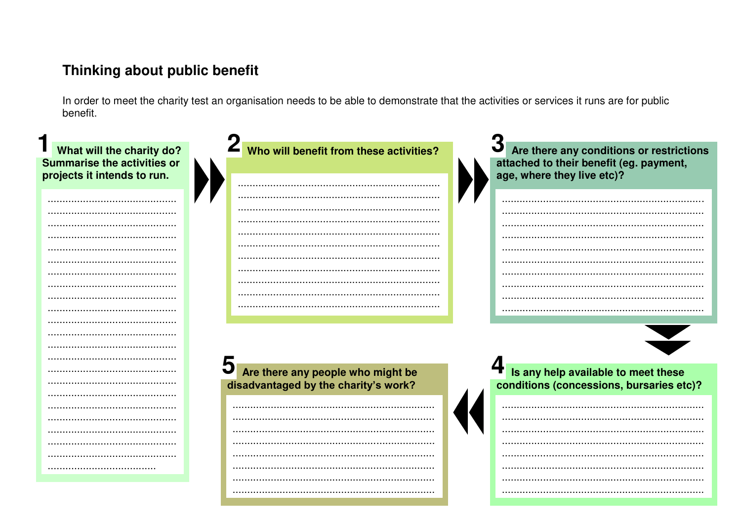# Thinking about public benefit

In order to meet the charity test an organisation needs to be able to demonstrate that the activities or services it runs are for public benefit.

| What will the charity do?<br><b>Summarise the activities or</b><br>projects it intends to run. | Who will benefit from these activities? | Are there any conditions or restrictions<br>attached to their benefit (eg. payment,<br>age, where they live etc)? |
|------------------------------------------------------------------------------------------------|-----------------------------------------|-------------------------------------------------------------------------------------------------------------------|
|                                                                                                |                                         |                                                                                                                   |
|                                                                                                |                                         |                                                                                                                   |
|                                                                                                |                                         |                                                                                                                   |
|                                                                                                |                                         |                                                                                                                   |
|                                                                                                |                                         |                                                                                                                   |
|                                                                                                |                                         |                                                                                                                   |
|                                                                                                |                                         |                                                                                                                   |
|                                                                                                |                                         |                                                                                                                   |
|                                                                                                |                                         |                                                                                                                   |
|                                                                                                |                                         |                                                                                                                   |
|                                                                                                |                                         |                                                                                                                   |
|                                                                                                |                                         |                                                                                                                   |
|                                                                                                |                                         |                                                                                                                   |
|                                                                                                |                                         |                                                                                                                   |
|                                                                                                |                                         |                                                                                                                   |
|                                                                                                | Are there any people who might be       | Is any help available to meet these                                                                               |
|                                                                                                | disadvantaged by the charity's work?    | conditions (concessions, bursaries etc)?                                                                          |
|                                                                                                |                                         |                                                                                                                   |
|                                                                                                |                                         |                                                                                                                   |
|                                                                                                |                                         |                                                                                                                   |
|                                                                                                |                                         |                                                                                                                   |
|                                                                                                |                                         |                                                                                                                   |
|                                                                                                |                                         |                                                                                                                   |
|                                                                                                |                                         |                                                                                                                   |
|                                                                                                |                                         |                                                                                                                   |
|                                                                                                |                                         |                                                                                                                   |
|                                                                                                |                                         |                                                                                                                   |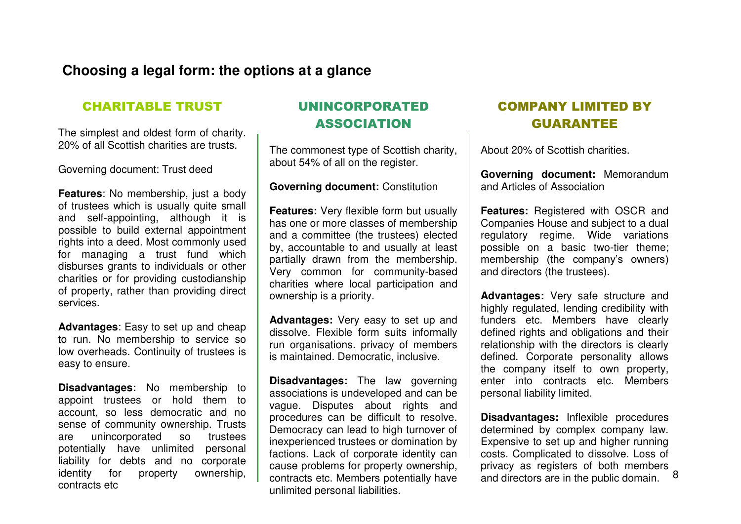### **Choosing a legal form: the options at a glance**

#### CHARITABLE TRUST

The simplest and oldest form of charity. 20% of all Scottish charities are trusts.

Governing document: Trust deed

**Features:** No membership, just a body of trustees which is usually quite small and self-appointing, although it is possible to build external appointment rights into a deed. Most commonly used for managing a trust fund which disburses grants to individuals or other charities or for providing custodianship of property, rather than providing direct services.

**Advantages**: Easy to set up and cheap to run. No membership to service so low overheads. Continuity of trustees is easy to ensure.

**Disadvantages:** No membership to appoint trustees or hold them to account, so less democratic and no sense of community ownership. Trusts are unincorporated so trustees potentially have unlimited personal liability for debts and no corporate identity for property ownership. contracts etc

### UNINCORPORATED ASSOCIATION

The commonest type of Scottish charity, about 54% of all on the register.

#### **Governing document:** Constitution

**Features:** Very flexible form but usually has one or more classes of membership and a committee (the trustees) elected by, accountable to and usually at least partially drawn from the membership. Very common for community-based charities where local participation and ownership is a priority.

**Advantages:** Very easy to set up and dissolve. Flexible form suits informally run organisations. privacy of members is maintained. Democratic, inclusive.

**Disadvantages:** The law governing associations is undeveloped and can be vague. Disputes about rights and procedures can be difficult to resolve. Democracy can lead to high turnover of inexperienced trustees or domination by factions. Lack of corporate identity can cause problems for property ownership, contracts etc. Members potentially have unlimited personal liabilities.

### COMPANY LIMITED BY GUARANTEE

About 20% of Scottish charities.

**Governing document:** Memorandum and Articles of Association

**Features:** Registered with OSCR and Companies House and subject to a dual regulatory regime. Wide variations possible on a basic two-tier theme; membership (the company's owners) and directors (the trustees).

**Advantages:** Very safe structure and highly regulated, lending credibility with funders etc. Members have clearly defined rights and obligations and their relationship with the directors is clearly defined. Corporate personality allows the company itself to own property, enter into contracts etc. Members personal liability limited.

8 **Disadvantages:** Inflexible procedures determined by complex company law. Expensive to set up and higher running costs. Complicated to dissolve. Loss of privacy as registers of both members and directors are in the public domain.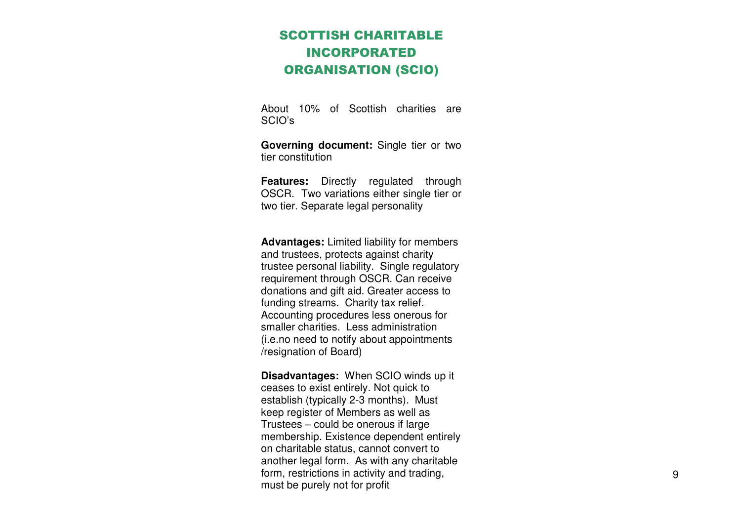### SCOTTISH CHARITABLE INCORPORATED ORGANISATION (SCIO)

About 10% of Scottish charities are SCIO's

**Governing document:** Single tier or two tier constitution

**Features:** Directly regulated through OSCR. Two variations either single tier or two tier. Separate legal personality

**Advantages:** Limited liability for members and trustees, protects against charity trustee personal liability. Single regulatory requirement through OSCR. Can receive donations and gift aid. Greater access to funding streams. Charity tax relief. Accounting procedures less onerous for smaller charities. Less administration (i.e.no need to notify about appointments /resignation of Board)

**Disadvantages:** When SCIO winds up it ceases to exist entirely. Not quick to establish (typically 2-3 months). Must keep register of Members as well as Trustees – could be onerous if large membership. Existence dependent entirely on charitable status, cannot convert to another legal form. As with any charitable form, restrictions in activity and trading, must be purely not for profit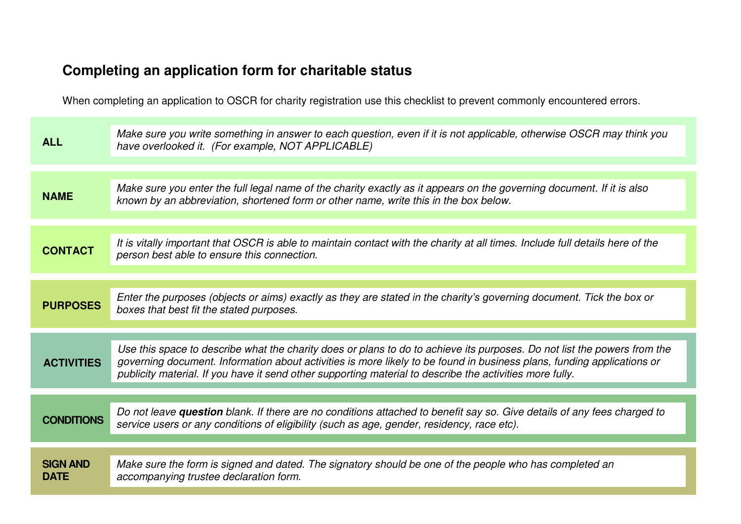# **Completing an application form for charitable status**

When completing an application to OSCR for charity registration use this checklist to prevent commonly encountered errors.

| Make sure you enter the full legal name of the charity exactly as it appears on the governing document. If it is also                                                                                                                              |
|----------------------------------------------------------------------------------------------------------------------------------------------------------------------------------------------------------------------------------------------------|
|                                                                                                                                                                                                                                                    |
| It is vitally important that OSCR is able to maintain contact with the charity at all times. Include full details here of the                                                                                                                      |
|                                                                                                                                                                                                                                                    |
| Enter the purposes (objects or aims) exactly as they are stated in the charity's governing document. Tick the box or                                                                                                                               |
|                                                                                                                                                                                                                                                    |
| Use this space to describe what the charity does or plans to do to achieve its purposes. Do not list the powers from the<br>governing document. Information about activities is more likely to be found in business plans, funding applications or |
|                                                                                                                                                                                                                                                    |
| Do not leave question blank. If there are no conditions attached to benefit say so. Give details of any fees charged to                                                                                                                            |
|                                                                                                                                                                                                                                                    |
|                                                                                                                                                                                                                                                    |
|                                                                                                                                                                                                                                                    |